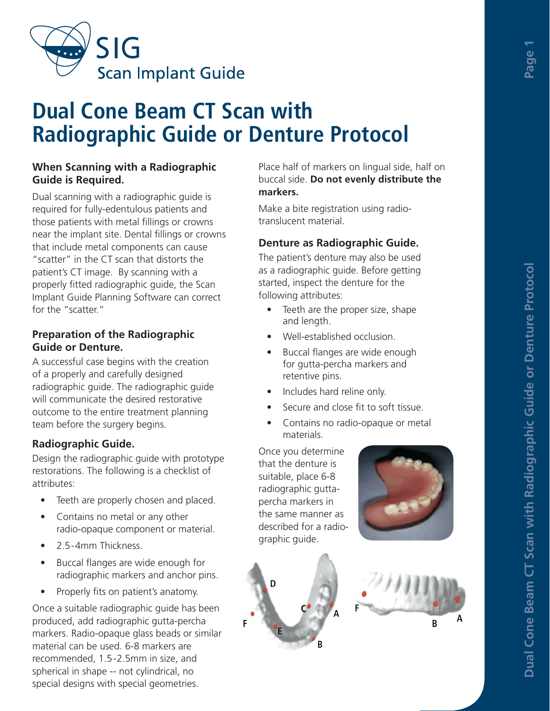

# **Dual Cone Beam CT Scan with Radiographic Guide or Denture Protocol**

#### **When Scanning with a Radiographic Guide is Required.**

Dual scanning with a radiographic guide is required for fully-edentulous patients and those patients with metal fillings or crowns near the implant site. Dental fillings or crowns that include metal components can cause "scatter" in the CT scan that distorts the patient's CT image. By scanning with a properly fitted radiographic guide, the Scan Implant Guide Planning Software can correct for the "scatter."

#### **Preparation of the Radiographic Guide or Denture.**

A successful case begins with the creation of a properly and carefully designed radiographic guide. The radiographic guide will communicate the desired restorative outcome to the entire treatment planning team before the surgery begins.

# **Radiographic Guide.**

Design the radiographic guide with prototype restorations. The following is a checklist of attributes:

- Teeth are properly chosen and placed.
- Contains no metal or any other radio-opaque component or material.
- 2.5-4mm Thickness.
- Buccal flanges are wide enough for radiographic markers and anchor pins.
- Properly fits on patient's anatomy.

Once a suitable radiographic guide has been produced, add radiographic gutta-percha markers. Radio-opaque glass beads or similar material can be used. 6-8 markers are recommended, 1.5-2.5mm in size, and spherical in shape -- not cylindrical, no special designs with special geometries.

Place half of markers on lingual side, half on buccal side. **Do not evenly distribute the markers.**

Make a bite registration using radiotranslucent material.

### **Denture as Radiographic Guide.**

The patient's denture may also be used as a radiographic guide. Before getting started, inspect the denture for the following attributes:

- Teeth are the proper size, shape and length.
- Well-established occlusion.
- Buccal flanges are wide enough for gutta-percha markers and retentive pins.
- Includes hard reline only.
- Secure and close fit to soft tissue.
- Contains no radio-opaque or metal materials.

Once you determine that the denture is suitable, place 6-8 radiographic guttapercha markers in the same manner as described for a radiographic guide.